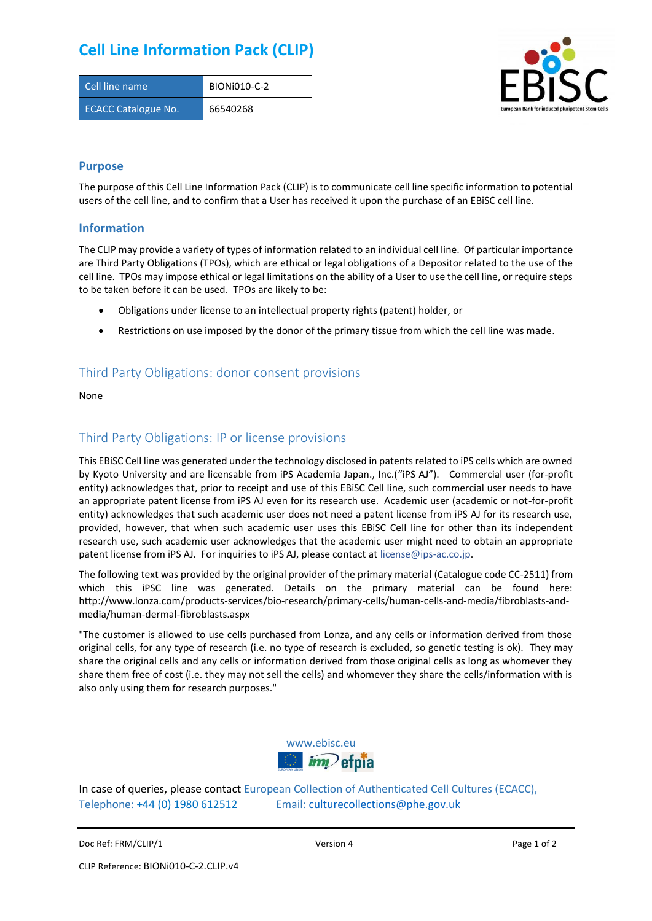# **Cell Line Information Pack (CLIP)**

| Cell line name             | BION <sub>i</sub> 010-C-2 |
|----------------------------|---------------------------|
| <b>ECACC Catalogue No.</b> | 66540268                  |



#### **Purpose**

The purpose of this Cell Line Information Pack (CLIP) is to communicate cell line specific information to potential users of the cell line, and to confirm that a User has received it upon the purchase of an EBiSC cell line.

#### **Information**

The CLIP may provide a variety of types of information related to an individual cell line. Of particular importance are Third Party Obligations (TPOs), which are ethical or legal obligations of a Depositor related to the use of the cell line. TPOs may impose ethical or legal limitations on the ability of a User to use the cell line, or require steps to be taken before it can be used. TPOs are likely to be:

- Obligations under license to an intellectual property rights (patent) holder, or
- Restrictions on use imposed by the donor of the primary tissue from which the cell line was made.

### Third Party Obligations: donor consent provisions

None

#### Third Party Obligations: IP or license provisions

This EBiSC Cell line was generated under the technology disclosed in patents related to iPS cells which are owned by Kyoto University and are licensable from iPS Academia Japan., Inc.("iPS AJ"). Commercial user (for-profit entity) acknowledges that, prior to receipt and use of this EBiSC Cell line, such commercial user needs to have an appropriate patent license from iPS AJ even for its research use. Academic user (academic or not-for-profit entity) acknowledges that such academic user does not need a patent license from iPS AJ for its research use, provided, however, that when such academic user uses this EBiSC Cell line for other than its independent research use, such academic user acknowledges that the academic user might need to obtain an appropriate patent license from iPS AJ. For inquiries to iPS AJ, please contact at [license@ips-ac.co.jp.](mailto:license@ips-ac.co.jp)

The following text was provided by the original provider of the primary material (Catalogue code CC-2511) from which this iPSC line was generated. Details on the primary material can be found here: http://www.lonza.com/products-services/bio-research/primary-cells/human-cells-and-media/fibroblasts-andmedia/human-dermal-fibroblasts.aspx

"The customer is allowed to use cells purchased from Lonza, and any cells or information derived from those original cells, for any type of research (i.e. no type of research is excluded, so genetic testing is ok). They may share the original cells and any cells or information derived from those original cells as long as whomever they share them free of cost (i.e. they may not sell the cells) and whomever they share the cells/information with is also only using them for research purposes."



In case of queries, please contact European Collection of Authenticated Cell Cultures (ECACC), Telephone: +44 (0) 1980 612512 Email: [culturecollections@phe.gov.uk](mailto:culturecollections@phe.gov.uk)

Doc Ref: FRM/CLIP/1 **Docessition 2** Page 1 of 2